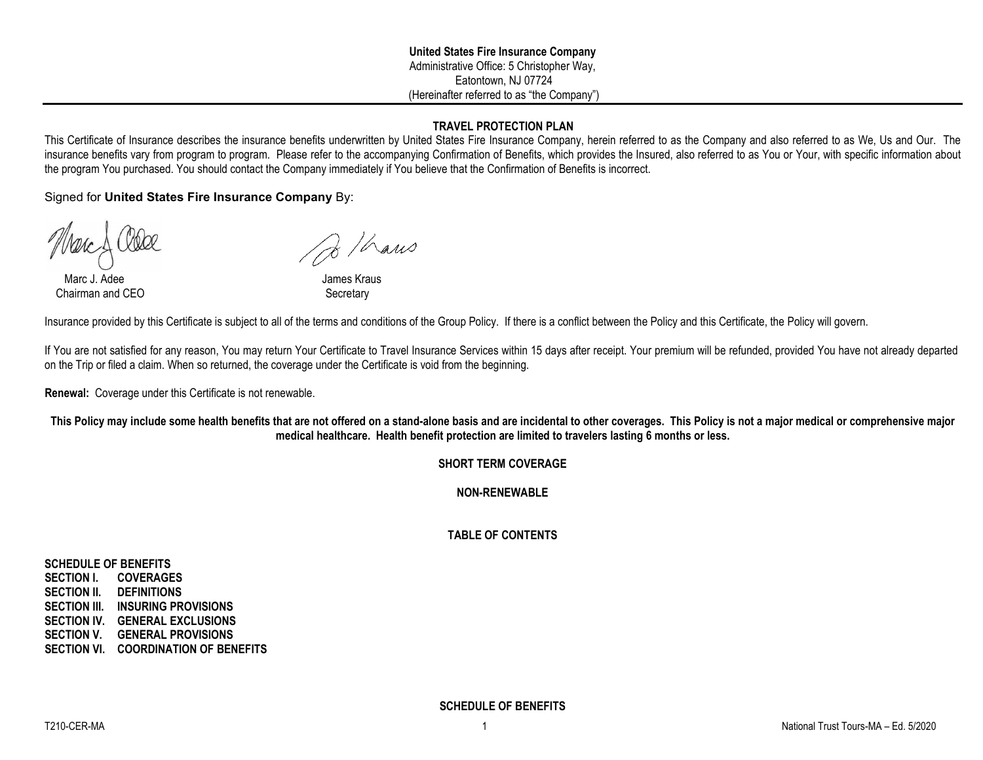# **TRAVEL PROTECTION PLAN**

This Certificate of Insurance describes the insurance benefits underwritten by United States Fire Insurance Company, herein referred to as the Company and also referred to as We, Us and Our. The insurance benefits vary from program to program. Please refer to the accompanying Confirmation of Benefits, which provides the Insured, also referred to as You or Your, with specific information about the program You purchased. You should contact the Company immediately if You believe that the Confirmation of Benefits is incorrect.

Signed for **United States Fire Insurance Company** By:

Marc J. Adee **James Kraus** Chairman and CEO Secretary

 $\frac{1}{8}$ /haws

Insurance provided by this Certificate is subject to all of the terms and conditions of the Group Policy. If there is a conflict between the Policy and this Certificate, the Policy will govern.

If You are not satisfied for any reason, You may return Your Certificate to Travel Insurance Services within 15 days after receipt. Your premium will be refunded, provided You have not already departed on the Trip or filed a claim. When so returned, the coverage under the Certificate is void from the beginning.

**Renewal:** Coverage under this Certificate is not renewable.

**This Policy may include some health benefits that are not offered on a stand-alone basis and are incidental to other coverages. This Policy is not a major medical or comprehensive major medical healthcare. Health benefit protection are limited to travelers lasting 6 months or less.**

# **SHORT TERM COVERAGE**

**NON-RENEWABLE**

# **TABLE OF CONTENTS**

**SCHEDULE OF BENEFITS SECTION I. COVERAGES SECTION II. DEFINITIONS SECTION III. INSURING PROVISIONS SECTION IV. GENERAL EXCLUSIONS SECTION V. GENERAL PROVISIONS SECTION VI. COORDINATION OF BENEFITS**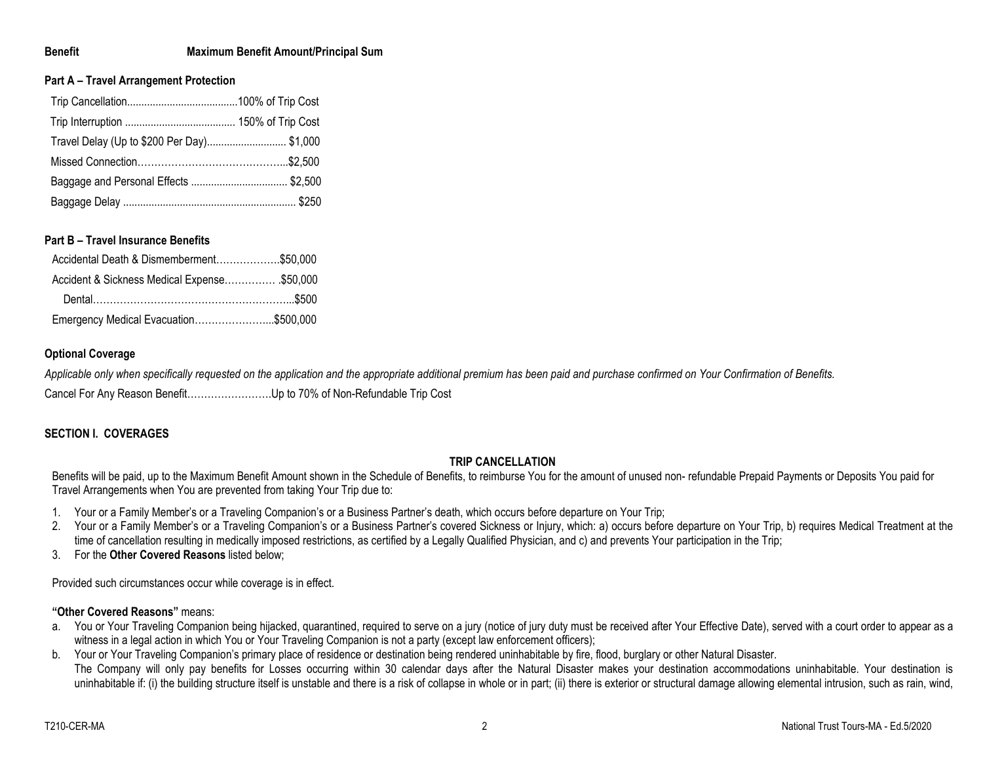## **Benefit Maximum Benefit Amount/Principal Sum**

## **Part A – Travel Arrangement Protection**

| Travel Delay (Up to \$200 Per Day) \$1,000 |  |
|--------------------------------------------|--|
|                                            |  |
|                                            |  |
|                                            |  |

## **Part B – Travel Insurance Benefits**

| Accidental Death & Dismemberment\$50,000    |  |
|---------------------------------------------|--|
| Accident & Sickness Medical Expense\$50,000 |  |
|                                             |  |
| Emergency Medical Evacuation\$500,000       |  |

## **Optional Coverage**

*Applicable only when specifically requested on the application and the appropriate additional premium has been paid and purchase confirmed on Your Confirmation of Benefits.* Cancel For Any Reason Benefit…………………….Up to 70% of Non-Refundable Trip Cost

# **SECTION I. COVERAGES**

## **TRIP CANCELLATION**

Benefits will be paid, up to the Maximum Benefit Amount shown in the Schedule of Benefits, to reimburse You for the amount of unused non- refundable Prepaid Payments or Deposits You paid for Travel Arrangements when You are prevented from taking Your Trip due to:

- 1. Your or a Family Member's or a Traveling Companion's or a Business Partner's death, which occurs before departure on Your Trip;
- 2. Your or a Family Member's or a Traveling Companion's or a Business Partner's covered Sickness or Injury, which: a) occurs before departure on Your Trip, b) requires Medical Treatment at the time of cancellation resulting in medically imposed restrictions, as certified by a Legally Qualified Physician, and c) and prevents Your participation in the Trip;
- 3. For the **Other Covered Reasons** listed below;

Provided such circumstances occur while coverage is in effect.

## **"Other Covered Reasons"** means:

- a. You or Your Traveling Companion being hijacked, quarantined, required to serve on a jury (notice of jury duty must be received after Your Effective Date), served with a court order to appear as a witness in a legal action in which You or Your Traveling Companion is not a party (except law enforcement officers);
- b. Your or Your Traveling Companion's primary place of residence or destination being rendered uninhabitable by fire, flood, burglary or other Natural Disaster. The Company will only pay benefits for Losses occurring within 30 calendar days after the Natural Disaster makes your destination accommodations uninhabitable. Your destination is uninhabitable if: (i) the building structure itself is unstable and there is a risk of collapse in whole or in part; (ii) there is exterior or structural damage allowing elemental intrusion, such as rain, wind,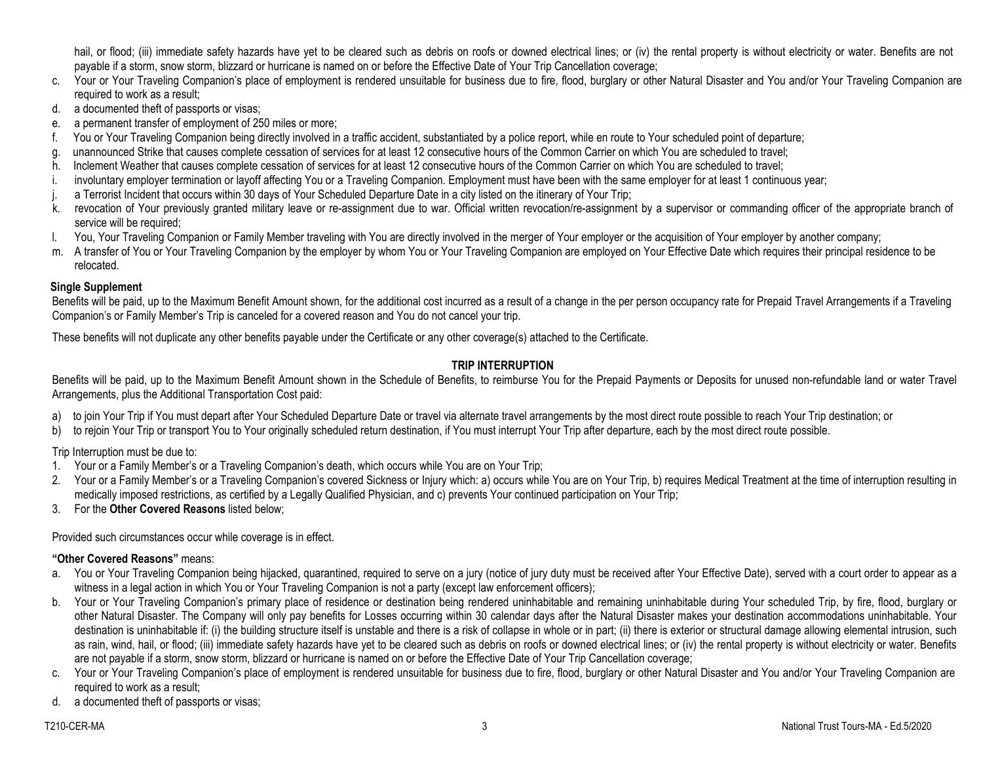hail, or flood; (iii) immediate safety hazards have yet to be cleared such as debris on roofs or downed electrical lines; or (iv) the rental property is without electricity or water. Benefits are not payable if a storm, snow storm, blizzard or hurricane is named on or before the Effective Date of Your Trip Cancellation coverage;

- c. Your or Your Traveling Companion's place of employment is rendered unsuitable for business due to fire, flood, burglary or other Natural Disaster and You and/or Your Traveling Companion are required to work as a result;
- d. a documented theft of passports or visas;
- e. a permanent transfer of employment of 250 miles or more;
- f. You or Your Traveling Companion being directly involved in a traffic accident, substantiated by a police report, while en route to Your scheduled point of departure;
- g. unannounced Strike that causes complete cessation of services for at least 12 consecutive hours of the Common Carrier on which You are scheduled to travel;
- h. Inclement Weather that causes complete cessation of services for at least 12 consecutive hours of the Common Carrier on which You are scheduled to travel;
- i. involuntary employer termination or layoff affecting You or a Traveling Companion. Employment must have been with the same employer for at least 1 continuous year;
- j. a Terrorist Incident that occurs within 30 days of Your Scheduled Departure Date in a city listed on the itinerary of Your Trip;
- k. revocation of Your previously granted military leave or re-assignment due to war. Official written revocation/re-assignment by a supervisor or commanding officer of the appropriate branch of service will be required;
- l. You, Your Traveling Companion or Family Member traveling with You are directly involved in the merger of Your employer or the acquisition of Your employer by another company;
- m. A transfer of You or Your Traveling Companion by the employer by whom You or Your Traveling Companion are employed on Your Effective Date which requires their principal residence to be relocated.

# **Single Supplement**

Benefits will be paid, up to the Maximum Benefit Amount shown, for the additional cost incurred as a result of a change in the per person occupancy rate for Prepaid Travel Arrangements if a Traveling Companion's or Family Member's Trip is canceled for a covered reason and You do not cancel your trip.

These benefits will not duplicate any other benefits payable under the Certificate or any other coverage(s) attached to the Certificate.

# **TRIP INTERRUPTION**

Benefits will be paid, up to the Maximum Benefit Amount shown in the Schedule of Benefits, to reimburse You for the Prepaid Payments or Deposits for unused non-refundable land or water Travel Arrangements, plus the Additional Transportation Cost paid:

- a) to join Your Trip if You must depart after Your Scheduled Departure Date or travel via alternate travel arrangements by the most direct route possible to reach Your Trip destination; or
- b) to rejoin Your Trip or transport You to Your originally scheduled return destination, if You must interrupt Your Trip after departure, each by the most direct route possible.

Trip Interruption must be due to:

- 1. Your or a Family Member's or a Traveling Companion's death, which occurs while You are on Your Trip;
- 2. Your or a Family Member's or a Traveling Companion's covered Sickness or Injury which: a) occurs while You are on Your Trip, b) requires Medical Treatment at the time of interruption resulting in medically imposed restrictions, as certified by a Legally Qualified Physician, and c) prevents Your continued participation on Your Trip;
- 3. For the **Other Covered Reasons** listed below;

Provided such circumstances occur while coverage is in effect.

# **"Other Covered Reasons"** means:

- a. You or Your Traveling Companion being hijacked, quarantined, required to serve on a jury (notice of jury duty must be received after Your Effective Date), served with a court order to appear as a witness in a legal action in which You or Your Traveling Companion is not a party (except law enforcement officers);
- b. Your or Your Traveling Companion's primary place of residence or destination being rendered uninhabitable and remaining uninhabitable during Your scheduled Trip, by fire, flood, burglary or other Natural Disaster. The Company will only pay benefits for Losses occurring within 30 calendar days after the Natural Disaster makes your destination accommodations uninhabitable. Your destination is uninhabitable if: (i) the building structure itself is unstable and there is a risk of collapse in whole or in part; (ii) there is exterior or structural damage allowing elemental intrusion, such as rain, wind, hail, or flood; (iii) immediate safety hazards have yet to be cleared such as debris on roofs or downed electrical lines; or (iv) the rental property is without electricity or water. Benefits are not payable if a storm, snow storm, blizzard or hurricane is named on or before the Effective Date of Your Trip Cancellation coverage;
- c. Your or Your Traveling Companion's place of employment is rendered unsuitable for business due to fire, flood, burglary or other Natural Disaster and You and/or Your Traveling Companion are required to work as a result;
- d. a documented theft of passports or visas;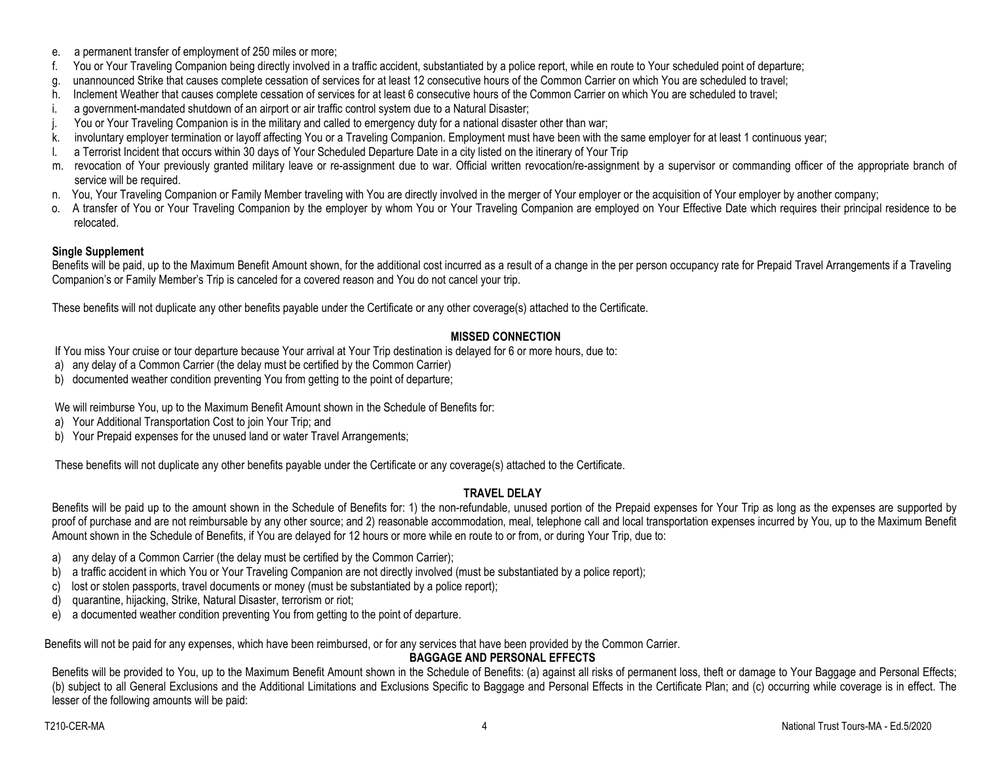- e. a permanent transfer of employment of 250 miles or more;
- f. You or Your Traveling Companion being directly involved in a traffic accident, substantiated by a police report, while en route to Your scheduled point of departure;
- g. unannounced Strike that causes complete cessation of services for at least 12 consecutive hours of the Common Carrier on which You are scheduled to travel;
- h. Inclement Weather that causes complete cessation of services for at least 6 consecutive hours of the Common Carrier on which You are scheduled to travel;
- i. a government-mandated shutdown of an airport or air traffic control system due to a Natural Disaster;
- j. You or Your Traveling Companion is in the military and called to emergency duty for a national disaster other than war;
- k. involuntary employer termination or layoff affecting You or a Traveling Companion. Employment must have been with the same employer for at least 1 continuous year;
- l. a Terrorist Incident that occurs within 30 days of Your Scheduled Departure Date in a city listed on the itinerary of Your Trip
- m. revocation of Your previously granted military leave or re-assignment due to war. Official written revocation/re-assignment by a supervisor or commanding officer of the appropriate branch of service will be required.
- n. You, Your Traveling Companion or Family Member traveling with You are directly involved in the merger of Your employer or the acquisition of Your employer by another company;
- o. A transfer of You or Your Traveling Companion by the employer by whom You or Your Traveling Companion are employed on Your Effective Date which requires their principal residence to be relocated.

# **Single Supplement**

Benefits will be paid, up to the Maximum Benefit Amount shown, for the additional cost incurred as a result of a change in the per person occupancy rate for Prepaid Travel Arrangements if a Traveling Companion's or Family Member's Trip is canceled for a covered reason and You do not cancel your trip.

These benefits will not duplicate any other benefits payable under the Certificate or any other coverage(s) attached to the Certificate.

# **MISSED CONNECTION**

If You miss Your cruise or tour departure because Your arrival at Your Trip destination is delayed for 6 or more hours, due to:

- a) any delay of a Common Carrier (the delay must be certified by the Common Carrier)
- b) documented weather condition preventing You from getting to the point of departure;

We will reimburse You, up to the Maximum Benefit Amount shown in the Schedule of Benefits for:

- a) Your Additional Transportation Cost to join Your Trip; and
- b) Your Prepaid expenses for the unused land or water Travel Arrangements;

These benefits will not duplicate any other benefits payable under the Certificate or any coverage(s) attached to the Certificate.

# **TRAVEL DELAY**

Benefits will be paid up to the amount shown in the Schedule of Benefits for: 1) the non-refundable, unused portion of the Prepaid expenses for Your Trip as long as the expenses are supported by proof of purchase and are not reimbursable by any other source; and 2) reasonable accommodation, meal, telephone call and local transportation expenses incurred by You, up to the Maximum Benefit Amount shown in the Schedule of Benefits, if You are delayed for 12 hours or more while en route to or from, or during Your Trip, due to:

- a) any delay of a Common Carrier (the delay must be certified by the Common Carrier);
- b) a traffic accident in which You or Your Traveling Companion are not directly involved (must be substantiated by a police report);
- c) lost or stolen passports, travel documents or money (must be substantiated by a police report);
- d) quarantine, hijacking, Strike, Natural Disaster, terrorism or riot;
- e) a documented weather condition preventing You from getting to the point of departure.

Benefits will not be paid for any expenses, which have been reimbursed, or for any services that have been provided by the Common Carrier.

# **BAGGAGE AND PERSONAL EFFECTS**

Benefits will be provided to You, up to the Maximum Benefit Amount shown in the Schedule of Benefits: (a) against all risks of permanent loss, theft or damage to Your Baggage and Personal Effects; (b) subject to all General Exclusions and the Additional Limitations and Exclusions Specific to Baggage and Personal Effects in the Certificate Plan; and (c) occurring while coverage is in effect. The lesser of the following amounts will be paid: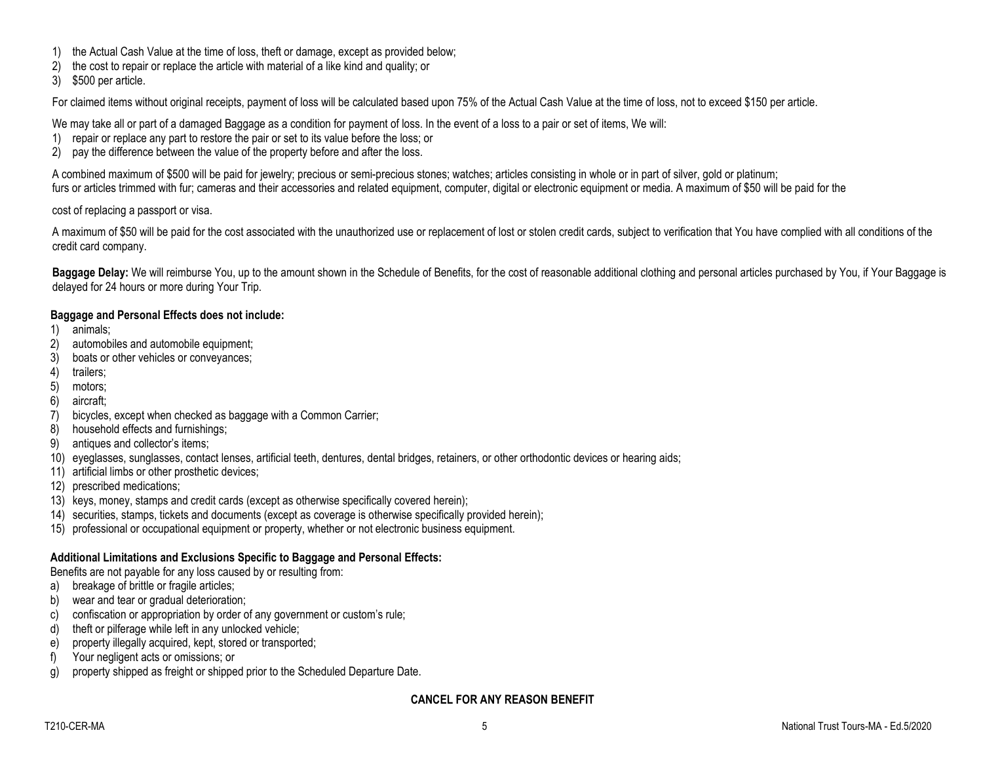- 1) the Actual Cash Value at the time of loss, theft or damage, except as provided below;
- 2) the cost to repair or replace the article with material of a like kind and quality; or
- 3) \$500 per article.

For claimed items without original receipts, payment of loss will be calculated based upon 75% of the Actual Cash Value at the time of loss, not to exceed \$150 per article.

We may take all or part of a damaged Baggage as a condition for payment of loss. In the event of a loss to a pair or set of items, We will:

- 1) repair or replace any part to restore the pair or set to its value before the loss; or
- 2) pay the difference between the value of the property before and after the loss.

A combined maximum of \$500 will be paid for jewelry; precious or semi-precious stones; watches; articles consisting in whole or in part of silver, gold or platinum; furs or articles trimmed with fur; cameras and their accessories and related equipment, computer, digital or electronic equipment or media. A maximum of \$50 will be paid for the

cost of replacing a passport or visa.

A maximum of \$50 will be paid for the cost associated with the unauthorized use or replacement of lost or stolen credit cards, subject to verification that You have complied with all conditions of the credit card company.

**Baggage Delay:** We will reimburse You, up to the amount shown in the Schedule of Benefits, for the cost of reasonable additional clothing and personal articles purchased by You, if Your Baggage is delayed for 24 hours or more during Your Trip.

## **Baggage and Personal Effects does not include:**

- 1) animals;
- 2) automobiles and automobile equipment;
- 3) boats or other vehicles or conveyances;
- 4) trailers;
- 5) motors;
- 6) aircraft;
- 7) bicycles, except when checked as baggage with a Common Carrier;
- 8) household effects and furnishings;
- 9) antiques and collector's items;
- 10) eyeglasses, sunglasses, contact lenses, artificial teeth, dentures, dental bridges, retainers, or other orthodontic devices or hearing aids;
- 11) artificial limbs or other prosthetic devices;
- 12) prescribed medications;
- 13) keys, money, stamps and credit cards (except as otherwise specifically covered herein);
- 14) securities, stamps, tickets and documents (except as coverage is otherwise specifically provided herein);
- 15) professional or occupational equipment or property, whether or not electronic business equipment.

# **Additional Limitations and Exclusions Specific to Baggage and Personal Effects:**

Benefits are not payable for any loss caused by or resulting from:

- a) breakage of brittle or fragile articles;
- b) wear and tear or gradual deterioration;
- c) confiscation or appropriation by order of any government or custom's rule;
- d) theft or pilferage while left in any unlocked vehicle;
- e) property illegally acquired, kept, stored or transported;
- f) Your negligent acts or omissions; or
- g) property shipped as freight or shipped prior to the Scheduled Departure Date.

# **CANCEL FOR ANY REASON BENEFIT**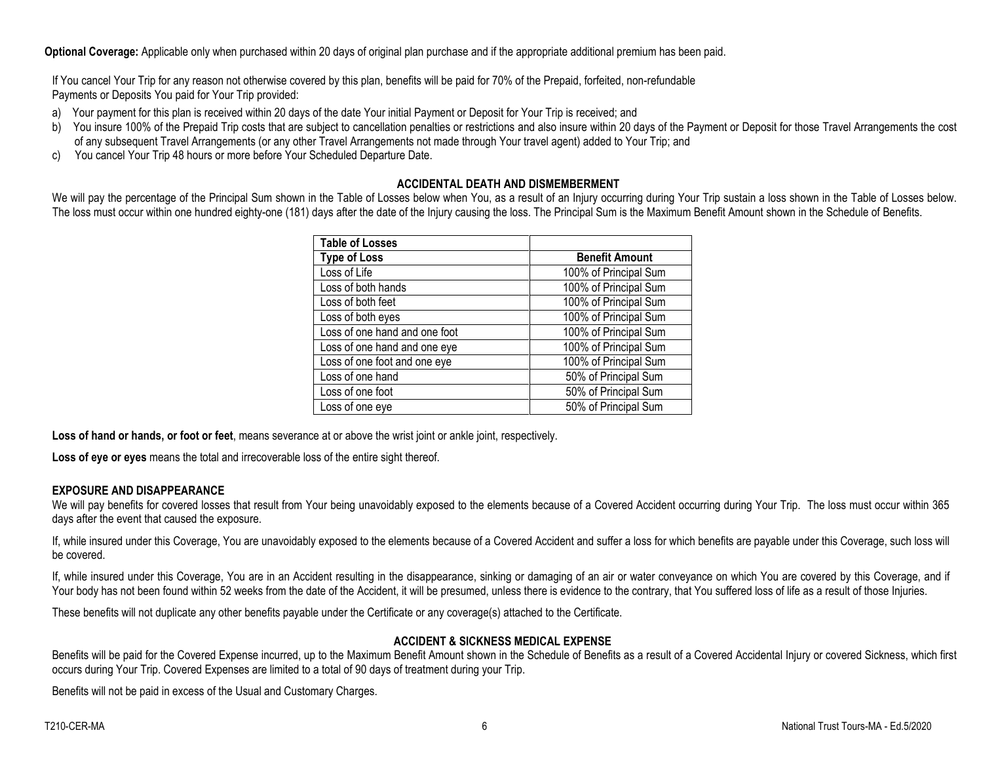**Optional Coverage:** Applicable only when purchased within 20 days of original plan purchase and if the appropriate additional premium has been paid.

If You cancel Your Trip for any reason not otherwise covered by this plan, benefits will be paid for 70% of the Prepaid, forfeited, non-refundable Payments or Deposits You paid for Your Trip provided:

- a) Your payment for this plan is received within 20 days of the date Your initial Payment or Deposit for Your Trip is received; and
- b) You insure 100% of the Prepaid Trip costs that are subject to cancellation penalties or restrictions and also insure within 20 days of the Payment or Deposit for those Travel Arrangements the cost of any subsequent Travel Arrangements (or any other Travel Arrangements not made through Your travel agent) added to Your Trip; and
- c) You cancel Your Trip 48 hours or more before Your Scheduled Departure Date.

# **ACCIDENTAL DEATH AND DISMEMBERMENT**

We will pay the percentage of the Principal Sum shown in the Table of Losses below when You, as a result of an Injury occurring during Your Trip sustain a loss shown in the Table of Losses below. The loss must occur within one hundred eighty-one (181) days after the date of the Injury causing the loss. The Principal Sum is the Maximum Benefit Amount shown in the Schedule of Benefits.

| Table of Losses               |                       |
|-------------------------------|-----------------------|
| <b>Type of Loss</b>           | <b>Benefit Amount</b> |
| Loss of Life                  | 100% of Principal Sum |
| Loss of both hands            | 100% of Principal Sum |
| Loss of both feet             | 100% of Principal Sum |
| Loss of both eyes             | 100% of Principal Sum |
| Loss of one hand and one foot | 100% of Principal Sum |
| Loss of one hand and one eye  | 100% of Principal Sum |
| Loss of one foot and one eye  | 100% of Principal Sum |
| Loss of one hand              | 50% of Principal Sum  |
| Loss of one foot              | 50% of Principal Sum  |
| Loss of one eye               | 50% of Principal Sum  |

**Loss of hand or hands, or foot or feet**, means severance at or above the wrist joint or ankle joint, respectively.

**Loss of eye or eyes** means the total and irrecoverable loss of the entire sight thereof.

# **EXPOSURE AND DISAPPEARANCE**

We will pay benefits for covered losses that result from Your being unavoidably exposed to the elements because of a Covered Accident occurring during Your Trip. The loss must occur within 365 days after the event that caused the exposure.

If, while insured under this Coverage, You are unavoidably exposed to the elements because of a Covered Accident and suffer a loss for which benefits are payable under this Coverage, such loss will be covered.

If, while insured under this Coverage, You are in an Accident resulting in the disappearance, sinking or damaging of an air or water conveyance on which You are covered by this Coverage, and if Your body has not been found within 52 weeks from the date of the Accident, it will be presumed, unless there is evidence to the contrary, that You suffered loss of life as a result of those Injuries.

These benefits will not duplicate any other benefits payable under the Certificate or any coverage(s) attached to the Certificate.

# **ACCIDENT & SICKNESS MEDICAL EXPENSE**

Benefits will be paid for the Covered Expense incurred, up to the Maximum Benefit Amount shown in the Schedule of Benefits as a result of a Covered Accidental Injury or covered Sickness, which first occurs during Your Trip. Covered Expenses are limited to a total of 90 days of treatment during your Trip.

Benefits will not be paid in excess of the Usual and Customary Charges.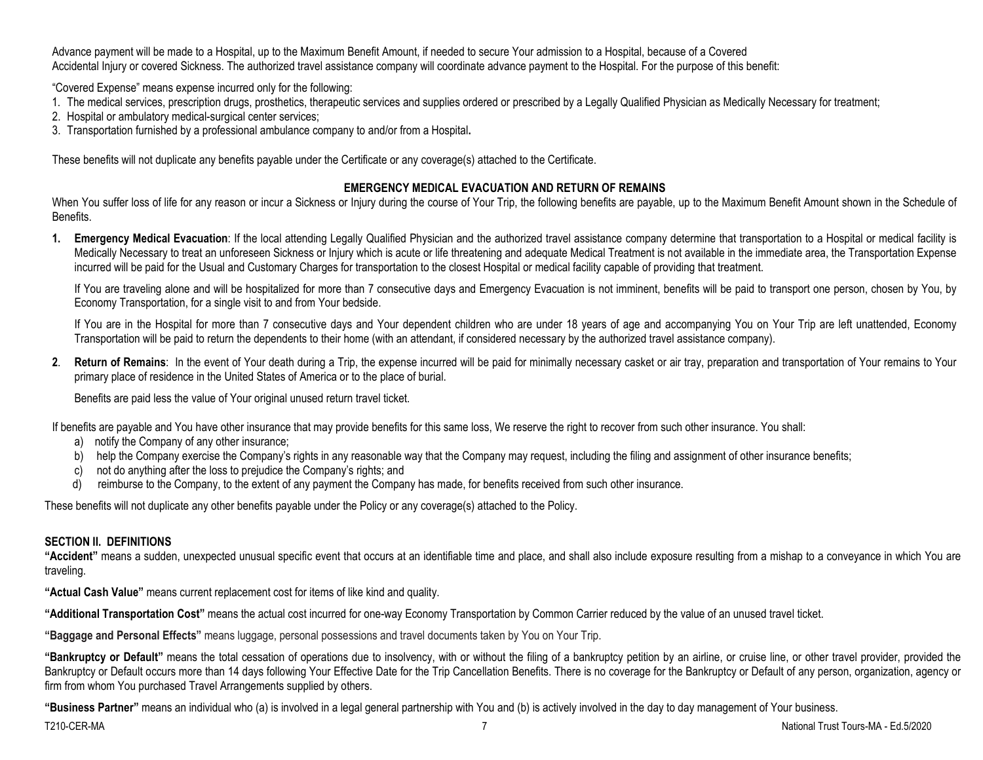Advance payment will be made to a Hospital, up to the Maximum Benefit Amount, if needed to secure Your admission to a Hospital, because of a Covered Accidental Injury or covered Sickness. The authorized travel assistance company will coordinate advance payment to the Hospital. For the purpose of this benefit:

"Covered Expense" means expense incurred only for the following:

- 1. The medical services, prescription drugs, prosthetics, therapeutic services and supplies ordered or prescribed by a Legally Qualified Physician as Medically Necessary for treatment;
- 2. Hospital or ambulatory medical-surgical center services;
- 3. Transportation furnished by a professional ambulance company to and/or from a Hospital**.**

These benefits will not duplicate any benefits payable under the Certificate or any coverage(s) attached to the Certificate.

# **EMERGENCY MEDICAL EVACUATION AND RETURN OF REMAINS**

When You suffer loss of life for any reason or incur a Sickness or Injury during the course of Your Trip, the following benefits are payable, up to the Maximum Benefit Amount shown in the Schedule of **Benefits** 

**1. Emergency Medical Evacuation**: If the local attending Legally Qualified Physician and the authorized travel assistance company determine that transportation to a Hospital or medical facility is Medically Necessary to treat an unforeseen Sickness or Injury which is acute or life threatening and adequate Medical Treatment is not available in the immediate area, the Transportation Expense incurred will be paid for the Usual and Customary Charges for transportation to the closest Hospital or medical facility capable of providing that treatment.

If You are traveling alone and will be hospitalized for more than 7 consecutive days and Emergency Evacuation is not imminent, benefits will be paid to transport one person, chosen by You, by Economy Transportation, for a single visit to and from Your bedside.

If You are in the Hospital for more than 7 consecutive days and Your dependent children who are under 18 years of age and accompanying You on Your Trip are left unattended, Economy Transportation will be paid to return the dependents to their home (with an attendant, if considered necessary by the authorized travel assistance company).

**2**. **Return of Remains**: In the event of Your death during a Trip, the expense incurred will be paid for minimally necessary casket or air tray, preparation and transportation of Your remains to Your primary place of residence in the United States of America or to the place of burial.

Benefits are paid less the value of Your original unused return travel ticket.

If benefits are payable and You have other insurance that may provide benefits for this same loss, We reserve the right to recover from such other insurance. You shall:

- a) notify the Company of any other insurance;
- b) help the Company exercise the Company's rights in any reasonable way that the Company may request, including the filing and assignment of other insurance benefits;
- c) not do anything after the loss to prejudice the Company's rights; and
- d) reimburse to the Company, to the extent of any payment the Company has made, for benefits received from such other insurance.

These benefits will not duplicate any other benefits payable under the Policy or any coverage(s) attached to the Policy.

# **SECTION II. DEFINITIONS**

**"Accident"** means a sudden, unexpected unusual specific event that occurs at an identifiable time and place, and shall also include exposure resulting from a mishap to a conveyance in which You are traveling.

**"Actual Cash Value"** means current replacement cost for items of like kind and quality.

**"Additional Transportation Cost"** means the actual cost incurred for one-way Economy Transportation by Common Carrier reduced by the value of an unused travel ticket.

**"Baggage and Personal Effects"** means luggage, personal possessions and travel documents taken by You on Your Trip.

**"Bankruptcy or Default"** means the total cessation of operations due to insolvency, with or without the filing of a bankruptcy petition by an airline, or cruise line, or other travel provider, provided the Bankruptcy or Default occurs more than 14 days following Your Effective Date for the Trip Cancellation Benefits. There is no coverage for the Bankruptcy or Default of any person, organization, agency or firm from whom You purchased Travel Arrangements supplied by others.

**"Business Partner"** means an individual who (a) is involved in a legal general partnership with You and (b) is actively involved in the day to day management of Your business.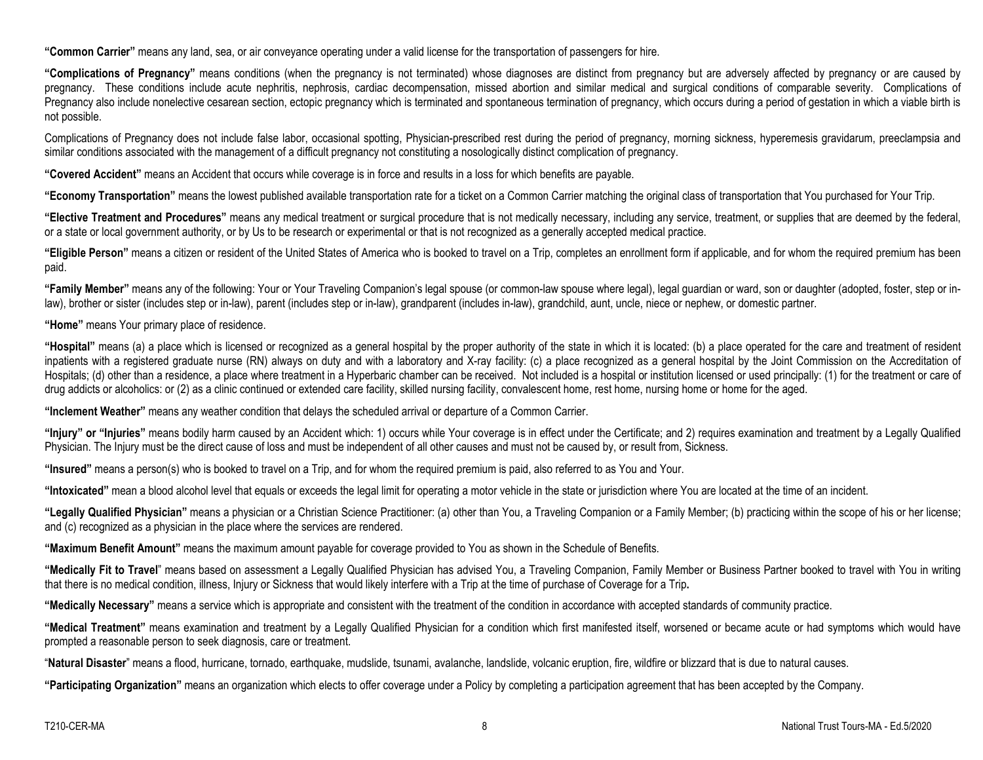**"Common Carrier"** means any land, sea, or air conveyance operating under a valid license for the transportation of passengers for hire.

**"Complications of Pregnancy"** means conditions (when the pregnancy is not terminated) whose diagnoses are distinct from pregnancy but are adversely affected by pregnancy or are caused by pregnancy. These conditions include acute nephritis, nephrosis, cardiac decompensation, missed abortion and similar medical and surgical conditions of comparable severity. Complications of Pregnancy also include nonelective cesarean section, ectopic pregnancy which is terminated and spontaneous termination of pregnancy, which occurs during a period of gestation in which a viable birth is not possible.

Complications of Pregnancy does not include false labor, occasional spotting, Physician-prescribed rest during the period of pregnancy, morning sickness, hyperemesis gravidarum, preeclampsia and similar conditions associated with the management of a difficult pregnancy not constituting a nosologically distinct complication of pregnancy.

**"Covered Accident"** means an Accident that occurs while coverage is in force and results in a loss for which benefits are payable.

**"Economy Transportation"** means the lowest published available transportation rate for a ticket on a Common Carrier matching the original class of transportation that You purchased for Your Trip.

**"Elective Treatment and Procedures"** means any medical treatment or surgical procedure that is not medically necessary, including any service, treatment, or supplies that are deemed by the federal, or a state or local government authority, or by Us to be research or experimental or that is not recognized as a generally accepted medical practice.

**"Eligible Person"** means a citizen or resident of the United States of America who is booked to travel on a Trip, completes an enrollment form if applicable, and for whom the required premium has been paid.

**"Family Member"** means any of the following: Your or Your Traveling Companion's legal spouse (or common-law spouse where legal), legal guardian or ward, son or daughter (adopted, foster, step or inlaw), brother or sister (includes step or in-law), parent (includes step or in-law), grandparent (includes in-law), grandchild, aunt, uncle, niece or nephew, or domestic partner.

**"Home"** means Your primary place of residence.

**"Hospital"** means (a) a place which is licensed or recognized as a general hospital by the proper authority of the state in which it is located: (b) a place operated for the care and treatment of resident inpatients with a registered graduate nurse (RN) always on duty and with a laboratory and X-ray facility: (c) a place recognized as a general hospital by the Joint Commission on the Accreditation of Hospitals; (d) other than a residence, a place where treatment in a Hyperbaric chamber can be received. Not included is a hospital or institution licensed or used principally: (1) for the treatment or care of drug addicts or alcoholics: or (2) as a clinic continued or extended care facility, skilled nursing facility, convalescent home, rest home, nursing home or home for the aged.

**"Inclement Weather"** means any weather condition that delays the scheduled arrival or departure of a Common Carrier.

"Injury" or "Injuries" means bodily harm caused by an Accident which: 1) occurs while Your coverage is in effect under the Certificate; and 2) requires examination and treatment by a Legally Qualified Physician. The Injury must be the direct cause of loss and must be independent of all other causes and must not be caused by, or result from, Sickness.

**"Insured"** means a person(s) who is booked to travel on a Trip, and for whom the required premium is paid, also referred to as You and Your.

**"Intoxicated"** mean a blood alcohol level that equals or exceeds the legal limit for operating a motor vehicle in the state or jurisdiction where You are located at the time of an incident.

**"Legally Qualified Physician"** means a physician or a Christian Science Practitioner: (a) other than You, a Traveling Companion or a Family Member; (b) practicing within the scope of his or her license; and (c) recognized as a physician in the place where the services are rendered.

**"Maximum Benefit Amount"** means the maximum amount payable for coverage provided to You as shown in the Schedule of Benefits.

**"Medically Fit to Travel**" means based on assessment a Legally Qualified Physician has advised You, a Traveling Companion, Family Member or Business Partner booked to travel with You in writing that there is no medical condition, illness, Injury or Sickness that would likely interfere with a Trip at the time of purchase of Coverage for a Trip**.**

**"Medically Necessary"** means a service which is appropriate and consistent with the treatment of the condition in accordance with accepted standards of community practice.

**"Medical Treatment"** means examination and treatment by a Legally Qualified Physician for a condition which first manifested itself, worsened or became acute or had symptoms which would have prompted a reasonable person to seek diagnosis, care or treatment.

"**Natural Disaster**" means a flood, hurricane, tornado, earthquake, mudslide, tsunami, avalanche, landslide, volcanic eruption, fire, wildfire or blizzard that is due to natural causes.

**"Participating Organization"** means an organization which elects to offer coverage under a Policy by completing a participation agreement that has been accepted by the Company.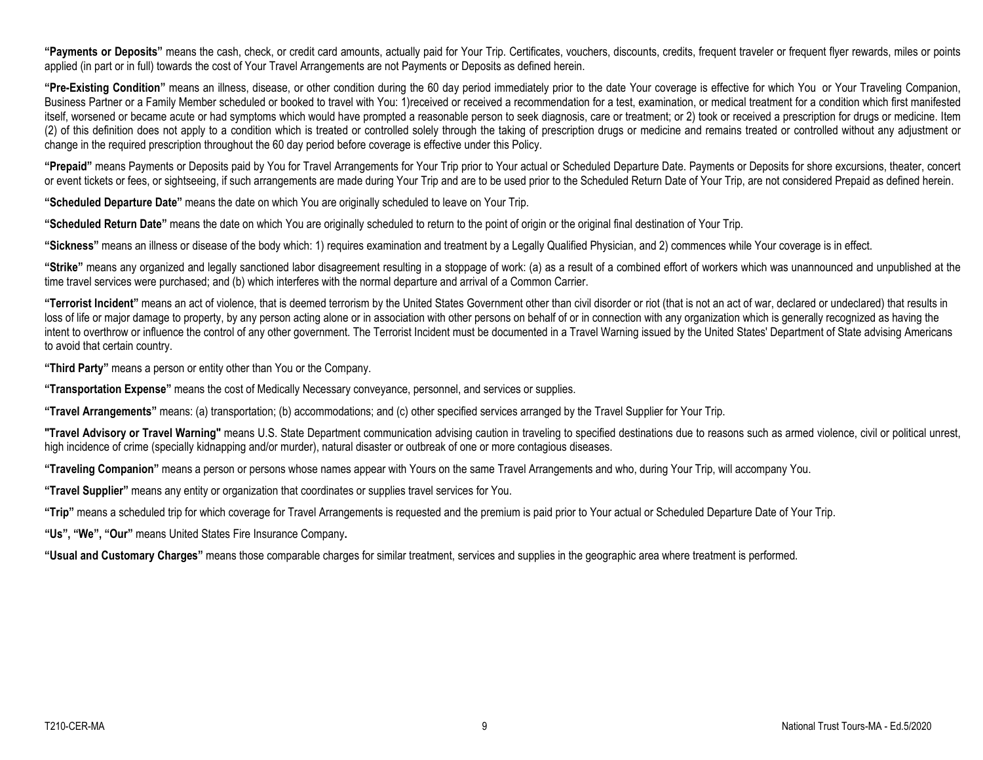**"Payments or Deposits"** means the cash, check, or credit card amounts, actually paid for Your Trip. Certificates, vouchers, discounts, credits, frequent traveler or frequent flyer rewards, miles or points applied (in part or in full) towards the cost of Your Travel Arrangements are not Payments or Deposits as defined herein.

**"Pre-Existing Condition"** means an illness, disease, or other condition during the 60 day period immediately prior to the date Your coverage is effective for which You or Your Traveling Companion, Business Partner or a Family Member scheduled or booked to travel with You: 1)received or received a recommendation for a test, examination, or medical treatment for a condition which first manifested itself, worsened or became acute or had symptoms which would have prompted a reasonable person to seek diagnosis, care or treatment; or 2) took or received a prescription for drugs or medicine. Item (2) of this definition does not apply to a condition which is treated or controlled solely through the taking of prescription drugs or medicine and remains treated or controlled without any adjustment or change in the required prescription throughout the 60 day period before coverage is effective under this Policy.

**"Prepaid"** means Payments or Deposits paid by You for Travel Arrangements for Your Trip prior to Your actual or Scheduled Departure Date. Payments or Deposits for shore excursions, theater, concert or event tickets or fees, or sightseeing, if such arrangements are made during Your Trip and are to be used prior to the Scheduled Return Date of Your Trip, are not considered Prepaid as defined herein.

**"Scheduled Departure Date"** means the date on which You are originally scheduled to leave on Your Trip.

**"Scheduled Return Date"** means the date on which You are originally scheduled to return to the point of origin or the original final destination of Your Trip.

**"Sickness"** means an illness or disease of the body which: 1) requires examination and treatment by a Legally Qualified Physician, and 2) commences while Your coverage is in effect.

**"Strike"** means any organized and legally sanctioned labor disagreement resulting in a stoppage of work: (a) as a result of a combined effort of workers which was unannounced and unpublished at the time travel services were purchased; and (b) which interferes with the normal departure and arrival of a Common Carrier.

**"Terrorist Incident"** means an act of violence, that is deemed terrorism by the United States Government other than civil disorder or riot (that is not an act of war, declared or undeclared) that results in loss of life or major damage to property, by any person acting alone or in association with other persons on behalf of or in connection with any organization which is generally recognized as having the intent to overthrow or influence the control of any other government. The Terrorist Incident must be documented in a Travel Warning issued by the United States' Department of State advising Americans to avoid that certain country.

**"Third Party"** means a person or entity other than You or the Company.

**"Transportation Expense"** means the cost of Medically Necessary conveyance, personnel, and services or supplies.

**"Travel Arrangements"** means: (a) transportation; (b) accommodations; and (c) other specified services arranged by the Travel Supplier for Your Trip.

**"Travel Advisory or Travel Warning"** means U.S. State Department communication advising caution in traveling to specified destinations due to reasons such as armed violence, civil or political unrest, high incidence of crime (specially kidnapping and/or murder), natural disaster or outbreak of one or more contagious diseases.

**"Traveling Companion"** means a person or persons whose names appear with Yours on the same Travel Arrangements and who, during Your Trip, will accompany You.

**"Travel Supplier"** means any entity or organization that coordinates or supplies travel services for You.

**"Trip"** means a scheduled trip for which coverage for Travel Arrangements is requested and the premium is paid prior to Your actual or Scheduled Departure Date of Your Trip.

**"Us", "We", "Our"** means United States Fire Insurance Company**.**

**"Usual and Customary Charges"** means those comparable charges for similar treatment, services and supplies in the geographic area where treatment is performed.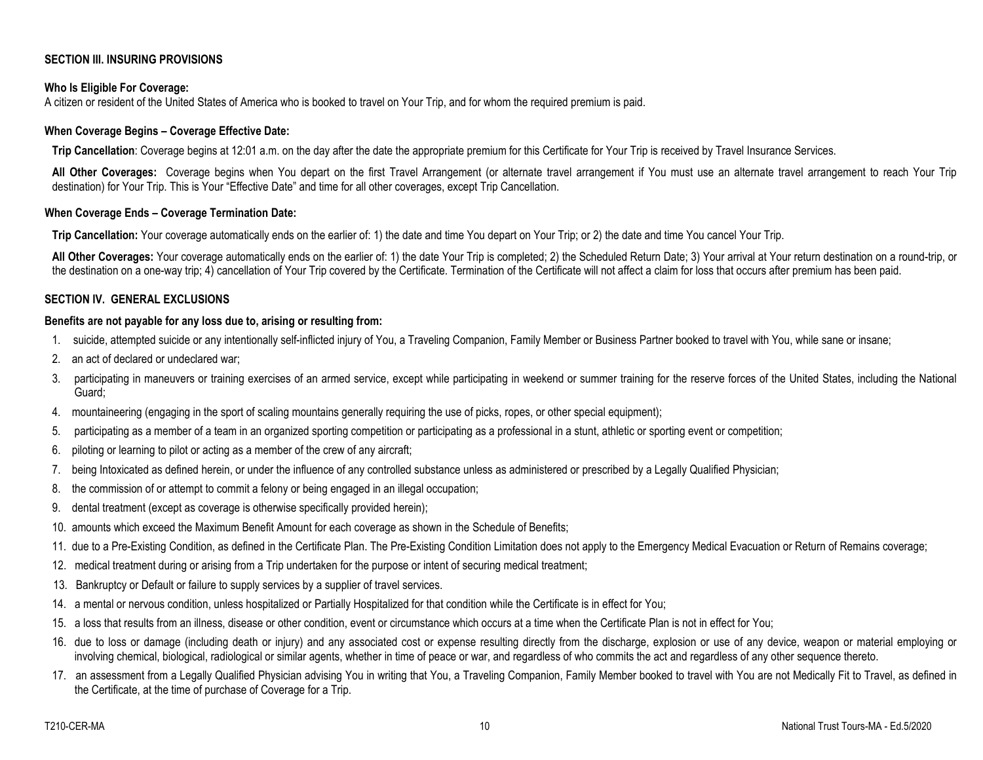# **SECTION III. INSURING PROVISIONS**

## **Who Is Eligible For Coverage:**

A citizen or resident of the United States of America who is booked to travel on Your Trip, and for whom the required premium is paid.

#### **When Coverage Begins – Coverage Effective Date:**

**Trip Cancellation**: Coverage begins at 12:01 a.m. on the day after the date the appropriate premium for this Certificate for Your Trip is received by Travel Insurance Services.

All Other Coverages: Coverage begins when You depart on the first Travel Arrangement (or alternate travel arrangement if You must use an alternate travel arrangement to reach Your Trip destination) for Your Trip. This is Your "Effective Date" and time for all other coverages, except Trip Cancellation.

#### **When Coverage Ends – Coverage Termination Date:**

**Trip Cancellation:** Your coverage automatically ends on the earlier of: 1) the date and time You depart on Your Trip; or 2) the date and time You cancel Your Trip.

**All Other Coverages:** Your coverage automatically ends on the earlier of: 1) the date Your Trip is completed; 2) the Scheduled Return Date; 3) Your arrival at Your return destination on a round-trip, or the destination on a one-way trip; 4) cancellation of Your Trip covered by the Certificate. Termination of the Certificate will not affect a claim for loss that occurs after premium has been paid.

## **SECTION IV. GENERAL EXCLUSIONS**

## **Benefits are not payable for any loss due to, arising or resulting from:**

- 1. suicide, attempted suicide or any intentionally self-inflicted injury of You, a Traveling Companion, Family Member or Business Partner booked to travel with You, while sane or insane;
- 2. an act of declared or undeclared war;
- 3. participating in maneuvers or training exercises of an armed service, except while participating in weekend or summer training for the reserve forces of the United States, including the National Guard;
- 4. mountaineering (engaging in the sport of scaling mountains generally requiring the use of picks, ropes, or other special equipment);
- 5. participating as a member of a team in an organized sporting competition or participating as a professional in a stunt, athletic or sporting event or competition;
- 6. piloting or learning to pilot or acting as a member of the crew of any aircraft;
- 7. being Intoxicated as defined herein, or under the influence of any controlled substance unless as administered or prescribed by a Legally Qualified Physician;
- 8. the commission of or attempt to commit a felony or being engaged in an illegal occupation;
- 9. dental treatment (except as coverage is otherwise specifically provided herein);
- 10. amounts which exceed the Maximum Benefit Amount for each coverage as shown in the Schedule of Benefits;
- 11. due to a Pre-Existing Condition, as defined in the Certificate Plan. The Pre-Existing Condition Limitation does not apply to the Emergency Medical Evacuation or Return of Remains coverage;
- 12. medical treatment during or arising from a Trip undertaken for the purpose or intent of securing medical treatment;
- 13. Bankruptcy or Default or failure to supply services by a supplier of travel services.
- 14. a mental or nervous condition, unless hospitalized or Partially Hospitalized for that condition while the Certificate is in effect for You;
- 15. a loss that results from an illness, disease or other condition, event or circumstance which occurs at a time when the Certificate Plan is not in effect for You;
- 16. due to loss or damage (including death or injury) and any associated cost or expense resulting directly from the discharge, explosion or use of any device, weapon or material employing or involving chemical, biological, radiological or similar agents, whether in time of peace or war, and regardless of who commits the act and regardless of any other sequence thereto.
- 17. an assessment from a Legally Qualified Physician advising You in writing that You, a Traveling Companion, Family Member booked to travel with You are not Medically Fit to Travel, as defined in the Certificate, at the time of purchase of Coverage for a Trip.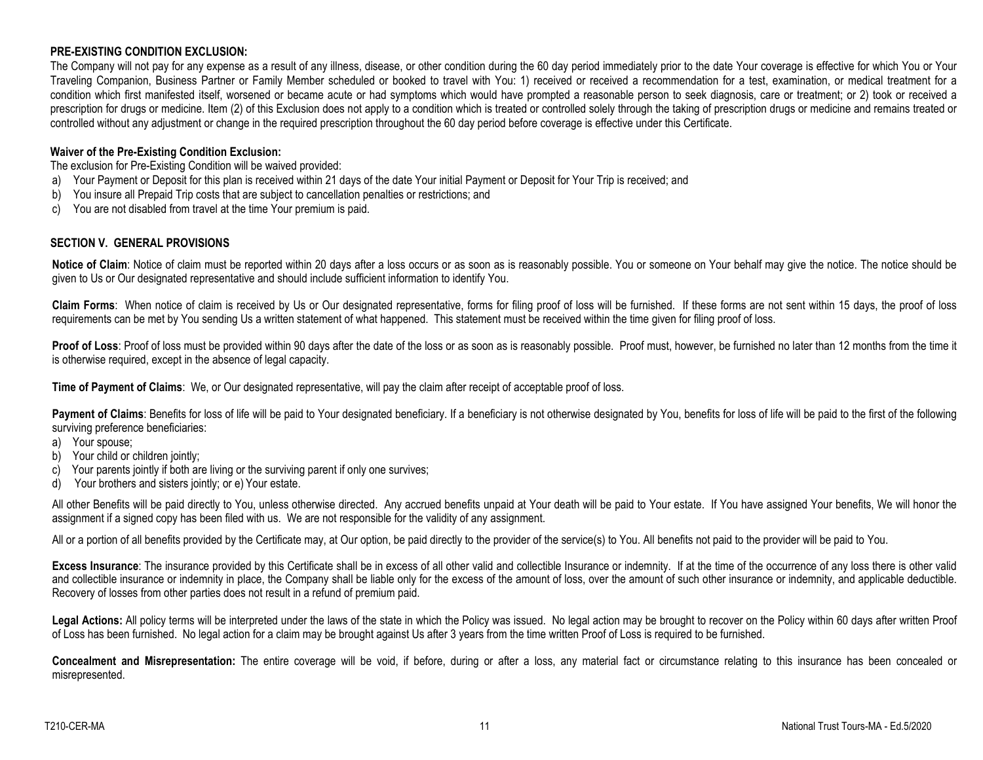# **PRE-EXISTING CONDITION EXCLUSION:**

The Company will not pay for any expense as a result of any illness, disease, or other condition during the 60 day period immediately prior to the date Your coverage is effective for which You or Your Traveling Companion, Business Partner or Family Member scheduled or booked to travel with You: 1) received or received a recommendation for a test, examination, or medical treatment for a condition which first manifested itself, worsened or became acute or had symptoms which would have prompted a reasonable person to seek diagnosis, care or treatment; or 2) took or received a prescription for drugs or medicine. Item (2) of this Exclusion does not apply to a condition which is treated or controlled solely through the taking of prescription drugs or medicine and remains treated or controlled without any adjustment or change in the required prescription throughout the 60 day period before coverage is effective under this Certificate.

## **Waiver of the Pre-Existing Condition Exclusion:**

The exclusion for Pre-Existing Condition will be waived provided:

- a) Your Payment or Deposit for this plan is received within 21 days of the date Your initial Payment or Deposit for Your Trip is received; and
- b) You insure all Prepaid Trip costs that are subject to cancellation penalties or restrictions; and
- c) You are not disabled from travel at the time Your premium is paid.

# **SECTION V. GENERAL PROVISIONS**

Notice of Claim: Notice of claim must be reported within 20 days after a loss occurs or as soon as is reasonably possible. You or someone on Your behalf may give the notice. The notice should be given to Us or Our designated representative and should include sufficient information to identify You.

**Claim Forms**: When notice of claim is received by Us or Our designated representative, forms for filing proof of loss will be furnished. If these forms are not sent within 15 days, the proof of loss requirements can be met by You sending Us a written statement of what happened. This statement must be received within the time given for filing proof of loss.

Proof of Loss: Proof of loss must be provided within 90 days after the date of the loss or as soon as is reasonably possible. Proof must, however, be furnished no later than 12 months from the time it is otherwise required, except in the absence of legal capacity.

**Time of Payment of Claims**: We, or Our designated representative, will pay the claim after receipt of acceptable proof of loss.

Payment of Claims: Benefits for loss of life will be paid to Your designated beneficiary. If a beneficiary is not otherwise designated by You, benefits for loss of life will be paid to the first of the following surviving preference beneficiaries:

- a) Your spouse;
- b) Your child or children jointly;
- c) Your parents jointly if both are living or the surviving parent if only one survives;
- d) Your brothers and sisters jointly; or e) Your estate.

All other Benefits will be paid directly to You, unless otherwise directed. Any accrued benefits unpaid at Your death will be paid to Your estate. If You have assigned Your benefits, We will honor the assignment if a signed copy has been filed with us. We are not responsible for the validity of any assignment.

All or a portion of all benefits provided by the Certificate may, at Our option, be paid directly to the provider of the service(s) to You. All benefits not paid to the provider will be paid to You.

Excess Insurance: The insurance provided by this Certificate shall be in excess of all other valid and collectible Insurance or indemnity. If at the time of the occurrence of any loss there is other valid and collectible insurance or indemnity in place, the Company shall be liable only for the excess of the amount of loss, over the amount of such other insurance or indemnity, and applicable deductible. Recovery of losses from other parties does not result in a refund of premium paid.

Legal Actions: All policy terms will be interpreted under the laws of the state in which the Policy was issued. No legal action may be brought to recover on the Policy within 60 days after written Proof of Loss has been furnished. No legal action for a claim may be brought against Us after 3 years from the time written Proof of Loss is required to be furnished.

**Concealment and Misrepresentation:** The entire coverage will be void, if before, during or after a loss, any material fact or circumstance relating to this insurance has been concealed or misrepresented.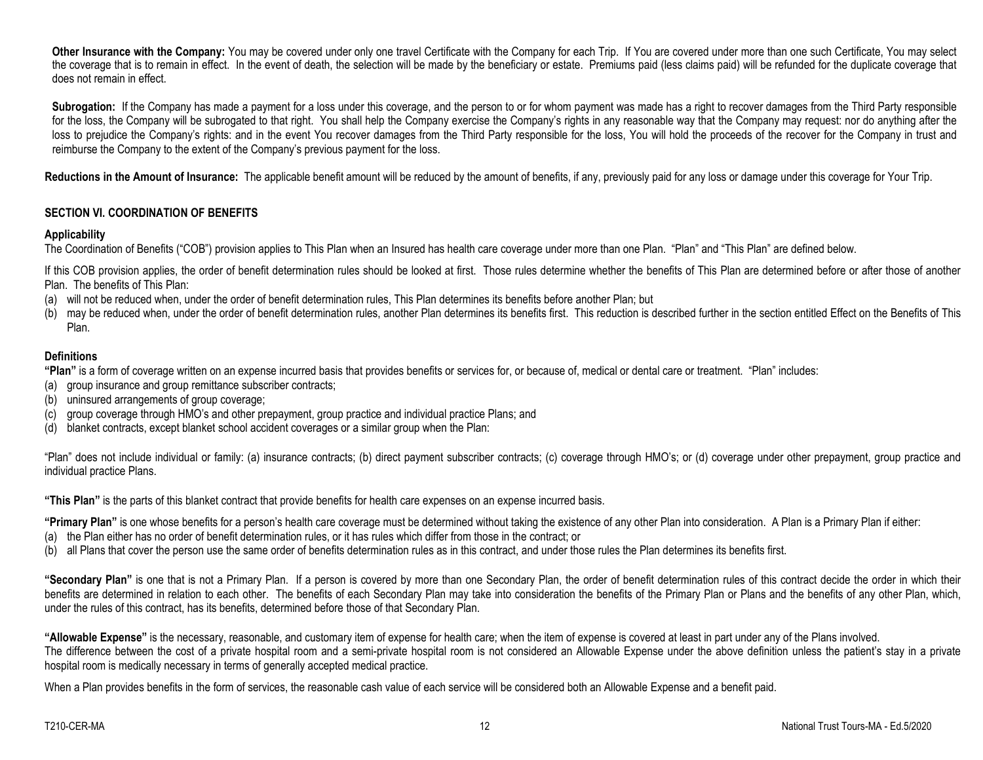Other Insurance with the Company: You may be covered under only one travel Certificate with the Company for each Trip. If You are covered under more than one such Certificate, You may select the coverage that is to remain in effect. In the event of death, the selection will be made by the beneficiary or estate. Premiums paid (less claims paid) will be refunded for the duplicate coverage that does not remain in effect.

Subrogation: If the Company has made a payment for a loss under this coverage, and the person to or for whom payment was made has a right to recover damages from the Third Party responsible for the loss, the Company will be subrogated to that right. You shall help the Company exercise the Company's rights in any reasonable way that the Company may request: nor do anything after the loss to prejudice the Company's rights: and in the event You recover damages from the Third Party responsible for the loss, You will hold the proceeds of the recover for the Company in trust and reimburse the Company to the extent of the Company's previous payment for the loss.

Reductions in the Amount of Insurance: The applicable benefit amount will be reduced by the amount of benefits, if any, previously paid for any loss or damage under this coverage for Your Trip.

# **SECTION VI. COORDINATION OF BENEFITS**

## **Applicability**

The Coordination of Benefits ("COB") provision applies to This Plan when an Insured has health care coverage under more than one Plan. "Plan" and "This Plan" are defined below.

If this COB provision applies, the order of benefit determination rules should be looked at first. Those rules determine whether the benefits of This Plan are determined before or after those of another Plan. The benefits of This Plan:

- (a) will not be reduced when, under the order of benefit determination rules, This Plan determines its benefits before another Plan; but
- (b) may be reduced when, under the order of benefit determination rules, another Plan determines its benefits first. This reduction is described further in the section entitled Effect on the Benefits of This Plan.

# **Definitions**

**"Plan"** is a form of coverage written on an expense incurred basis that provides benefits or services for, or because of, medical or dental care or treatment. "Plan" includes:

- (a) group insurance and group remittance subscriber contracts;
- (b) uninsured arrangements of group coverage;
- (c) group coverage through HMO's and other prepayment, group practice and individual practice Plans; and
- (d) blanket contracts, except blanket school accident coverages or a similar group when the Plan:

"Plan" does not include individual or family: (a) insurance contracts; (b) direct payment subscriber contracts; (c) coverage through HMO's; or (d) coverage under other prepayment, group practice and individual practice Plans.

**"This Plan"** is the parts of this blanket contract that provide benefits for health care expenses on an expense incurred basis.

**"Primary Plan"** is one whose benefits for a person's health care coverage must be determined without taking the existence of any other Plan into consideration. A Plan is a Primary Plan if either:

- (a) the Plan either has no order of benefit determination rules, or it has rules which differ from those in the contract; or
- (b) all Plans that cover the person use the same order of benefits determination rules as in this contract, and under those rules the Plan determines its benefits first.

**"Secondary Plan"** is one that is not a Primary Plan. If a person is covered by more than one Secondary Plan, the order of benefit determination rules of this contract decide the order in which their benefits are determined in relation to each other. The benefits of each Secondary Plan may take into consideration the benefits of the Primary Plan or Plans and the benefits of any other Plan, which, under the rules of this contract, has its benefits, determined before those of that Secondary Plan.

**"Allowable Expense"** is the necessary, reasonable, and customary item of expense for health care; when the item of expense is covered at least in part under any of the Plans involved. The difference between the cost of a private hospital room and a semi-private hospital room is not considered an Allowable Expense under the above definition unless the patient's stay in a private hospital room is medically necessary in terms of generally accepted medical practice.

When a Plan provides benefits in the form of services, the reasonable cash value of each service will be considered both an Allowable Expense and a benefit paid.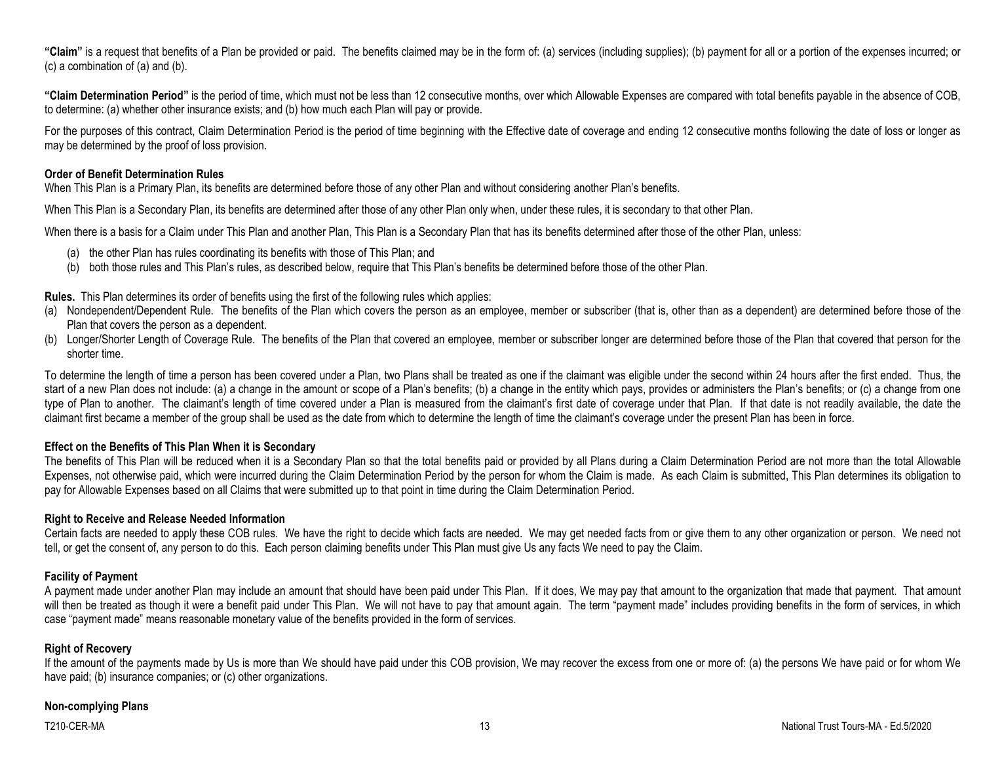**"Claim"** is a request that benefits of a Plan be provided or paid. The benefits claimed may be in the form of: (a) services (including supplies); (b) payment for all or a portion of the expenses incurred; or (c) a combination of (a) and (b).

**"Claim Determination Period"** is the period of time, which must not be less than 12 consecutive months, over which Allowable Expenses are compared with total benefits payable in the absence of COB, to determine: (a) whether other insurance exists; and (b) how much each Plan will pay or provide.

For the purposes of this contract, Claim Determination Period is the period of time beginning with the Effective date of coverage and ending 12 consecutive months following the date of loss or longer as may be determined by the proof of loss provision.

## **Order of Benefit Determination Rules**

When This Plan is a Primary Plan, its benefits are determined before those of any other Plan and without considering another Plan's benefits.

When This Plan is a Secondary Plan, its benefits are determined after those of any other Plan only when, under these rules, it is secondary to that other Plan.

When there is a basis for a Claim under This Plan and another Plan, This Plan is a Secondary Plan that has its benefits determined after those of the other Plan, unless:

- (a) the other Plan has rules coordinating its benefits with those of This Plan; and
- (b) both those rules and This Plan's rules, as described below, require that This Plan's benefits be determined before those of the other Plan.

**Rules.** This Plan determines its order of benefits using the first of the following rules which applies:

- (a) Nondependent/Dependent Rule. The benefits of the Plan which covers the person as an employee, member or subscriber (that is, other than as a dependent) are determined before those of the Plan that covers the person as a dependent.
- (b) Longer/Shorter Length of Coverage Rule. The benefits of the Plan that covered an employee, member or subscriber longer are determined before those of the Plan that covered that person for the shorter time.

To determine the length of time a person has been covered under a Plan, two Plans shall be treated as one if the claimant was eligible under the second within 24 hours after the first ended. Thus, the start of a new Plan does not include: (a) a change in the amount or scope of a Plan's benefits; (b) a change in the entity which pays, provides or administers the Plan's benefits; or (c) a change from one type of Plan to another. The claimant's length of time covered under a Plan is measured from the claimant's first date of coverage under that Plan. If that date is not readily available, the date the claimant first became a member of the group shall be used as the date from which to determine the length of time the claimant's coverage under the present Plan has been in force.

# **Effect on the Benefits of This Plan When it is Secondary**

The benefits of This Plan will be reduced when it is a Secondary Plan so that the total benefits paid or provided by all Plans during a Claim Determination Period are not more than the total Allowable Expenses, not otherwise paid, which were incurred during the Claim Determination Period by the person for whom the Claim is made. As each Claim is submitted, This Plan determines its obligation to pay for Allowable Expenses based on all Claims that were submitted up to that point in time during the Claim Determination Period.

# **Right to Receive and Release Needed Information**

Certain facts are needed to apply these COB rules. We have the right to decide which facts are needed. We may get needed facts from or give them to any other organization or person. We need not tell, or get the consent of, any person to do this. Each person claiming benefits under This Plan must give Us any facts We need to pay the Claim.

# **Facility of Payment**

A payment made under another Plan may include an amount that should have been paid under This Plan. If it does, We may pay that amount to the organization that made that payment. That amount will then be treated as though it were a benefit paid under This Plan. We will not have to pay that amount again. The term "payment made" includes providing benefits in the form of services, in which case "payment made" means reasonable monetary value of the benefits provided in the form of services.

## **Right of Recovery**

If the amount of the payments made by Us is more than We should have paid under this COB provision, We may recover the excess from one or more of: (a) the persons We have paid or for whom We have paid; (b) insurance companies; or (c) other organizations.

## **Non-complying Plans**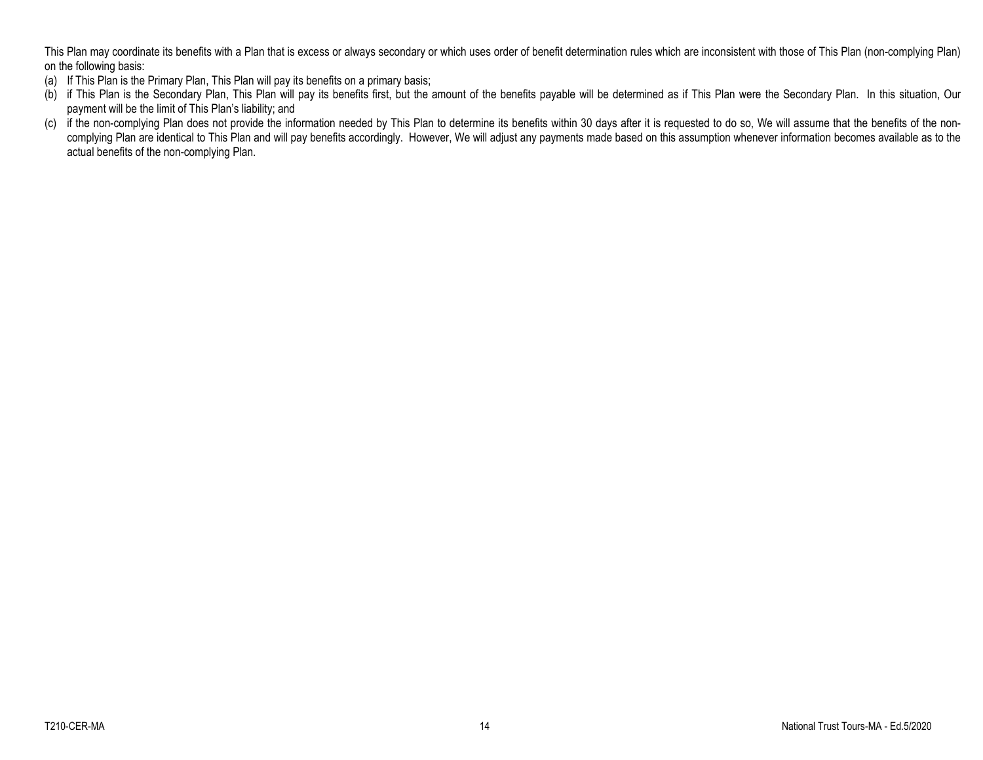This Plan may coordinate its benefits with a Plan that is excess or always secondary or which uses order of benefit determination rules which are inconsistent with those of This Plan (non-complying Plan) on the following basis:

- (a) If This Plan is the Primary Plan, This Plan will pay its benefits on a primary basis;
- (b) if This Plan is the Secondary Plan, This Plan will pay its benefits first, but the amount of the benefits payable will be determined as if This Plan were the Secondary Plan. In this situation, Our payment will be the limit of This Plan's liability; and
- (c) if the non-complying Plan does not provide the information needed by This Plan to determine its benefits within 30 days after it is requested to do so, We will assume that the benefits of the noncomplying Plan are identical to This Plan and will pay benefits accordingly. However, We will adjust any payments made based on this assumption whenever information becomes available as to the actual benefits of the non-complying Plan.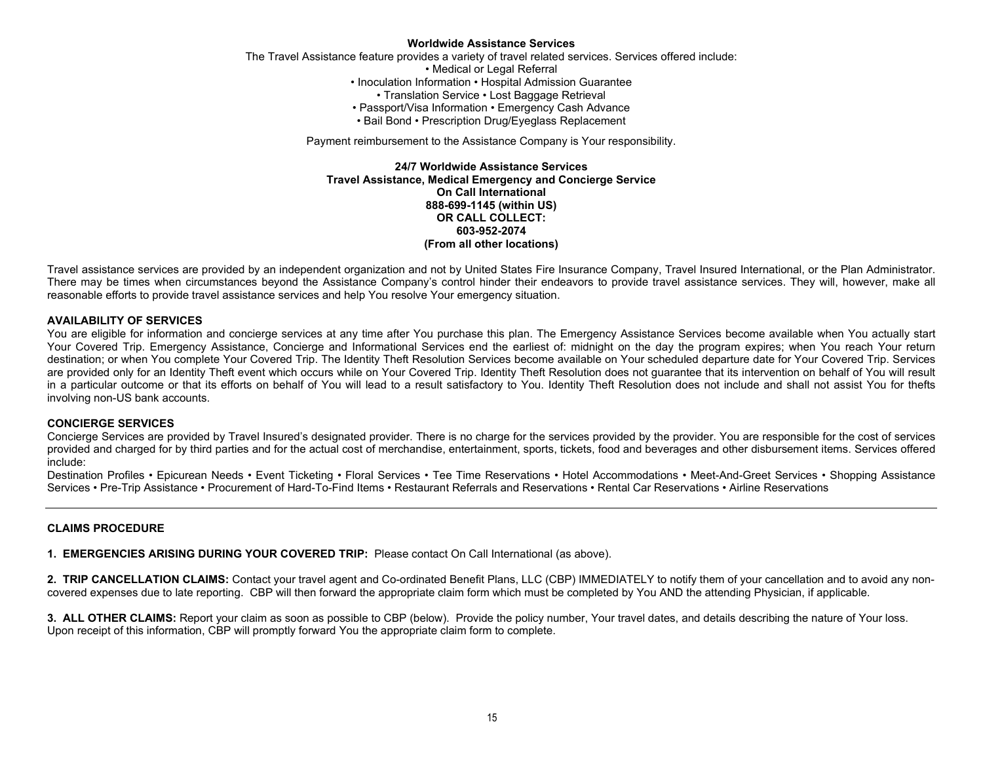#### **Worldwide Assistance Services**

The Travel Assistance feature provides a variety of travel related services. Services offered include:

• Medical or Legal Referral

- Inoculation Information Hospital Admission Guarantee
	- Translation Service Lost Baggage Retrieval
- Passport/Visa Information Emergency Cash Advance
- Bail Bond Prescription Drug/Eyeglass Replacement

Payment reimbursement to the Assistance Company is Your responsibility.

**24/7 Worldwide Assistance Services Travel Assistance, Medical Emergency and Concierge Service On Call International 888-699-1145 (within US) OR CALL COLLECT: 603-952-2074 (From all other locations)**

Travel assistance services are provided by an independent organization and not by United States Fire Insurance Company, Travel Insured International, or the Plan Administrator. There may be times when circumstances beyond the Assistance Company's control hinder their endeavors to provide travel assistance services. They will, however, make all reasonable efforts to provide travel assistance services and help You resolve Your emergency situation.

#### **AVAILABILITY OF SERVICES**

You are eligible for information and concierge services at any time after You purchase this plan. The Emergency Assistance Services become available when You actually start Your Covered Trip. Emergency Assistance, Concierge and Informational Services end the earliest of: midnight on the day the program expires; when You reach Your return destination; or when You complete Your Covered Trip. The Identity Theft Resolution Services become available on Your scheduled departure date for Your Covered Trip. Services are provided only for an Identity Theft event which occurs while on Your Covered Trip. Identity Theft Resolution does not guarantee that its intervention on behalf of You will result in a particular outcome or that its efforts on behalf of You will lead to a result satisfactory to You. Identity Theft Resolution does not include and shall not assist You for thefts involving non-US bank accounts.

#### **CONCIERGE SERVICES**

Concierge Services are provided by Travel Insured's designated provider. There is no charge for the services provided by the provider. You are responsible for the cost of services provided and charged for by third parties and for the actual cost of merchandise, entertainment, sports, tickets, food and beverages and other disbursement items. Services offered include:

Destination Profiles • Epicurean Needs • Event Ticketing • Floral Services • Tee Time Reservations • Hotel Accommodations • Meet-And-Greet Services • Shopping Assistance Services • Pre-Trip Assistance • Procurement of Hard-To-Find Items • Restaurant Referrals and Reservations • Rental Car Reservations • Airline Reservations

#### **CLAIMS PROCEDURE**

**1. EMERGENCIES ARISING DURING YOUR COVERED TRIP:** Please contact On Call International (as above).

**2. TRIP CANCELLATION CLAIMS:** Contact your travel agent and Co-ordinated Benefit Plans, LLC (CBP) IMMEDIATELY to notify them of your cancellation and to avoid any noncovered expenses due to late reporting. CBP will then forward the appropriate claim form which must be completed by You AND the attending Physician, if applicable.

**3. ALL OTHER CLAIMS:** Report your claim as soon as possible to CBP (below). Provide the policy number, Your travel dates, and details describing the nature of Your loss. Upon receipt of this information, CBP will promptly forward You the appropriate claim form to complete.